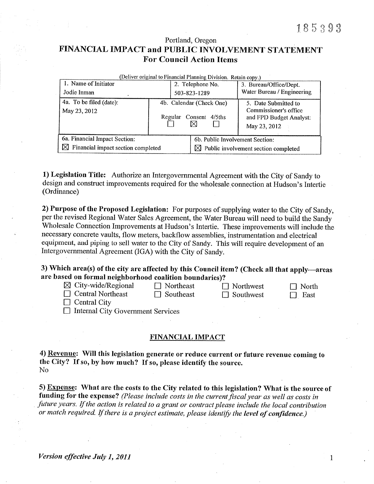Portland, Oregon

# FINANCIAL IMPACT and PUBLIC INVOLVEMENT STATEMENT **For Council Action Items**

| (Deliver original to Financial Planning Division. Retain copy.) |                                                    |                  |                                                  |                                                                                          |  |
|-----------------------------------------------------------------|----------------------------------------------------|------------------|--------------------------------------------------|------------------------------------------------------------------------------------------|--|
| 1. Name of Initiator                                            |                                                    | 2. Telephone No. |                                                  | 3. Bureau/Office/Dept.                                                                   |  |
| Jodie Inman                                                     |                                                    |                  | 503-823-1289                                     | Water Bureau / Engineering                                                               |  |
| 4a. To be filed (date):<br>May 23, 2012                         | 4b. Calendar (Check One)<br>Regular Consent 4/5ths |                  |                                                  | 5. Date Submitted to<br>Commissioner's office<br>and FPD Budget Analyst:<br>May 23, 2012 |  |
| 6a. Financial Impact Section:                                   |                                                    |                  | 6b. Public Involvement Section:                  |                                                                                          |  |
| $\boxtimes$ Financial impact section completed                  |                                                    |                  | $\boxtimes$ Public involvement section completed |                                                                                          |  |

1) Legislation Title: Authorize an Intergovernmental Agreement with the City of Sandy to design and construct improvements required for the wholesale connection at Hudson's Intertie (Ordinance)

2) Purpose of the Proposed Legislation: For purposes of supplying water to the City of Sandy, per the revised Regional Water Sales Agreement, the Water Bureau will need to build the Sandy Wholesale Connection Improvements at Hudson's Intertie. These improvements will include the necessary concrete vaults, flow meters, backflow assemblies, instrumentation and electrical equipment, and piping to sell water to the City of Sandy. This will require development of an Intergovernmental Agreement (IGA) with the City of Sandy.

3) Which area(s) of the city are affected by this Council item? (Check all that apply-areas are based on formal neighborhood coalition boundaries)?

| $\boxtimes$ City-wide/Regional | $\Box$ Northeast |
|--------------------------------|------------------|
| $\Box$ Central Northeast       | $\Box$ Southeast |

 $\Box$  Northwest  $\Box$  Southwest

 $\Box$  North  $\Box$  East

 $\Box$  Central City

□ Internal City Government Services

## FINANCIAL IMPACT

4) Revenue: Will this legislation generate or reduce current or future revenue coming to the City? If so, by how much? If so, please identify the source. No

5) Expense: What are the costs to the City related to this legislation? What is the source of funding for the expense? (Please include costs in the current fiscal year as well as costs in future years. If the action is related to a grant or contract please include the local contribution or match required. If there is a project estimate, please identify the level of confidence.)

Version effective July 1, 2011

 $\mathbf{1}$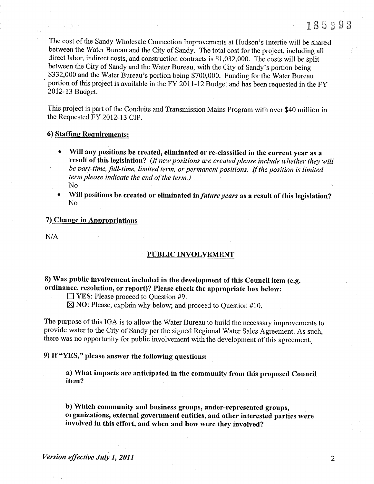The cost of the Sandy Wholesale Connection Improvements at Hudson's Intertie will be shared between the Water Bureau and the City of Sandy. The total cost for the project, including all direct labor, indirect costs, and construction contracts is  $$1,032,000$ . The costs will be split between the City of Sandy and the Water Bureau, with the City of Sandy's portion being \$332,000 and the Water Bureau's portion being \$700,000. Funding for the Water Bureau portion of this project is available in the FY 2011-12 Budget and has been requested in the FY 2012-13 Budget.

This project is part of the Conduits and Transmission Mains Program with over \$40 million in the Requested FY 2012-13 CIP.

### 6) Staffing Requirements:

- Will any positions be created, eliminated or re-classified in the current year as a result of this legislation? (If new positions are created please include whether they will be part-time, full-time, limited term, or permanent positions. If the position is limited term please indicate the end of the term.) No
- Will positions be created or eliminated in future years as a result of this legislation? No

### 7) Change in Appropriations

N/A

#### PUBLIC INVOLVEMENT

8) Was public involvement included in the development of this Council item (e.g. ordinance, resolution, or report)? Please check the appropriate box below:<br> $\Box$  YES: Please proceed to Question #9.

 $\boxtimes$  NO: Please, explain why below; and proceed to Question #10.

The purpose of this IGA is to allow the Water Bureau to build the necessary improvements to provide water to the City of Sandy per the signed Regional Water Sales Agreement. As such, there was no opportunity for public involvement with the development of this agreement..

9) If "YES," please answer thc following questions:

a) What impacts are anticipated in the community from this proposed Council item?

b) Which community and business groups, under-represented groups, organizations, external government entities, and other interested parties were involved in this effort, and when and how were they involved?

2